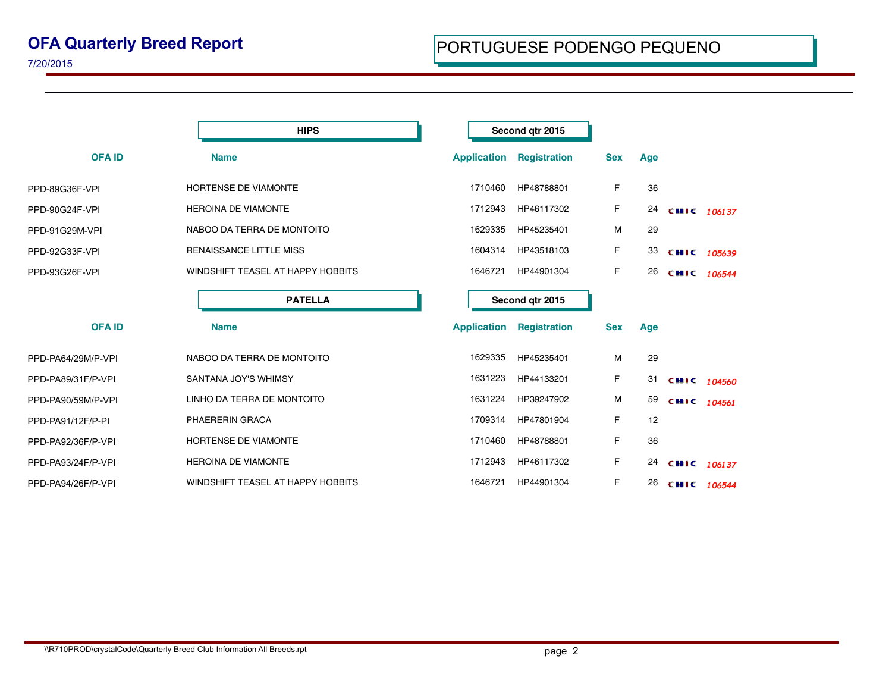|                    | <b>HIPS</b>                       | Second qtr 2015    |                     |            |     |             |  |
|--------------------|-----------------------------------|--------------------|---------------------|------------|-----|-------------|--|
| <b>OFA ID</b>      | <b>Name</b>                       | <b>Application</b> | <b>Registration</b> | <b>Sex</b> | Age |             |  |
| PPD-89G36F-VPI     | <b>HORTENSE DE VIAMONTE</b>       | 1710460            | HP48788801          | F          | 36  |             |  |
| PPD-90G24F-VPI     | <b>HEROINA DE VIAMONTE</b>        | 1712943            | HP46117302          | F          | 24  | CHIC 106137 |  |
| PPD-91G29M-VPI     | NABOO DA TERRA DE MONTOITO        | 1629335            | HP45235401          | M          | 29  |             |  |
| PPD-92G33F-VPI     | RENAISSANCE LITTLE MISS           | 1604314            | HP43518103          | F          | 33  | CHIC 105639 |  |
| PPD-93G26F-VPI     | WINDSHIFT TEASEL AT HAPPY HOBBITS | 1646721            | HP44901304          | F          | 26  | CHIC 106544 |  |
|                    | <b>PATELLA</b>                    |                    | Second gtr 2015     |            |     |             |  |
| <b>OFA ID</b>      | <b>Name</b>                       | <b>Application</b> | <b>Registration</b> | <b>Sex</b> | Age |             |  |
| PPD-PA64/29M/P-VPI | NABOO DA TERRA DE MONTOITO        | 1629335            | HP45235401          | M          | 29  |             |  |
| PPD-PA89/31F/P-VPI | SANTANA JOY'S WHIMSY              | 1631223            | HP44133201          | F          | 31  | CHIC 104560 |  |
| PPD-PA90/59M/P-VPI | LINHO DA TERRA DE MONTOITO        | 1631224            | HP39247902          | M          | 59  | CHIC 104561 |  |
| PPD-PA91/12F/P-PI  | PHAERERIN GRACA                   | 1709314            | HP47801904          | F          | 12  |             |  |
| PPD-PA92/36F/P-VPI | HORTENSE DE VIAMONTE              | 1710460            | HP48788801          | F          | 36  |             |  |
| PPD-PA93/24F/P-VPI | <b>HEROINA DE VIAMONTE</b>        | 1712943            | HP46117302          | F          | 24  | CHIC 106137 |  |
| PPD-PA94/26F/P-VPI | WINDSHIFT TEASEL AT HAPPY HOBBITS | 1646721            | HP44901304          | F          | 26  | CHIC 106544 |  |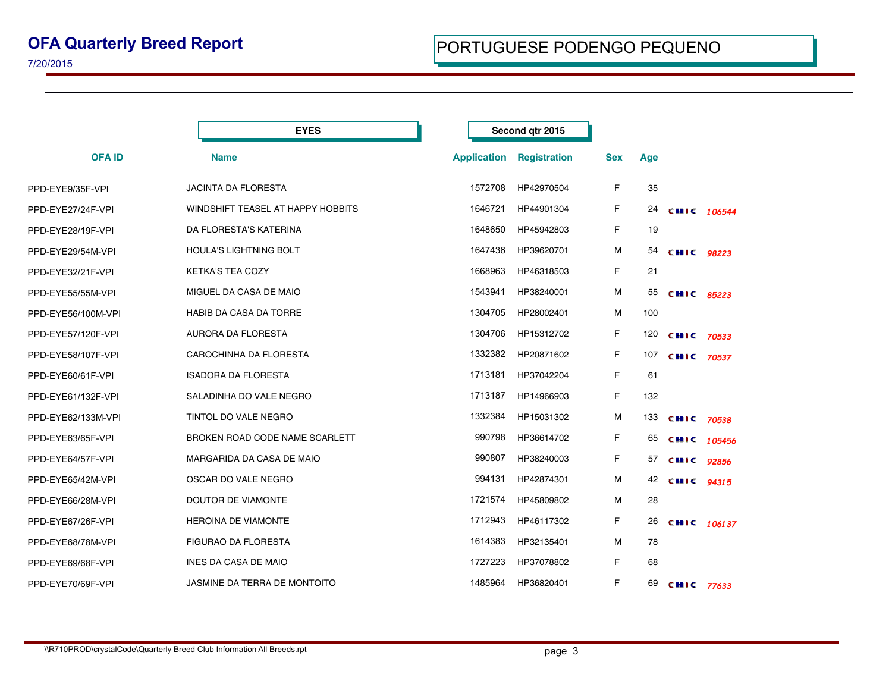|                    | <b>EYES</b>                       | Second qtr 2015    |              |            |     |                   |  |
|--------------------|-----------------------------------|--------------------|--------------|------------|-----|-------------------|--|
| <b>OFAID</b>       | <b>Name</b>                       | <b>Application</b> | Registration | <b>Sex</b> | Age |                   |  |
| PPD-EYE9/35F-VPI   | <b>JACINTA DA FLORESTA</b>        | 1572708            | HP42970504   | F          | 35  |                   |  |
| PPD-EYE27/24F-VPI  | WINDSHIFT TEASEL AT HAPPY HOBBITS | 1646721            | HP44901304   | F          | 24  | CHIC 106544       |  |
| PPD-EYE28/19F-VPI  | DA FLORESTA'S KATERINA            | 1648650            | HP45942803   | F          | 19  |                   |  |
| PPD-EYE29/54M-VPI  | <b>HOULA'S LIGHTNING BOLT</b>     | 1647436            | HP39620701   | M          | 54  | CHIC 98223        |  |
| PPD-EYE32/21F-VPI  | <b>KETKA'S TEA COZY</b>           | 1668963            | HP46318503   | F          | 21  |                   |  |
| PPD-EYE55/55M-VPI  | MIGUEL DA CASA DE MAIO            | 1543941            | HP38240001   | M          | 55  | CHIC 85223        |  |
| PPD-EYE56/100M-VPI | HABIB DA CASA DA TORRE            | 1304705            | HP28002401   | M          | 100 |                   |  |
| PPD-EYE57/120F-VPI | AURORA DA FLORESTA                | 1304706            | HP15312702   | F          | 120 | CHIC 70533        |  |
| PPD-EYE58/107F-VPI | CAROCHINHA DA FLORESTA            | 1332382            | HP20871602   | F          | 107 | CHIC 70537        |  |
| PPD-EYE60/61F-VPI  | <b>ISADORA DA FLORESTA</b>        | 1713181            | HP37042204   | F          | 61  |                   |  |
| PPD-EYE61/132F-VPI | SALADINHA DO VALE NEGRO           | 1713187            | HP14966903   | F          | 132 |                   |  |
| PPD-EYE62/133M-VPI | TINTOL DO VALE NEGRO              | 1332384            | HP15031302   | M          |     | 133 сніс 70538    |  |
| PPD-EYE63/65F-VPI  | BROKEN ROAD CODE NAME SCARLETT    | 990798             | HP36614702   | F          | 65  | CHIC $105456$     |  |
| PPD-EYE64/57F-VPI  | MARGARIDA DA CASA DE MAIO         | 990807             | HP38240003   | F          | 57  | CHIC 92856        |  |
| PPD-EYE65/42M-VPI  | OSCAR DO VALE NEGRO               | 994131             | HP42874301   | M          | 42  | CHIC 94315        |  |
| PPD-EYE66/28M-VPI  | DOUTOR DE VIAMONTE                | 1721574            | HP45809802   | M          | 28  |                   |  |
| PPD-EYE67/26F-VPI  | <b>HEROINA DE VIAMONTE</b>        | 1712943            | HP46117302   | F          | 26  | CHIC 106137       |  |
| PPD-EYE68/78M-VPI  | FIGURAO DA FLORESTA               | 1614383            | HP32135401   | M          | 78  |                   |  |
| PPD-EYE69/68F-VPI  | <b>INES DA CASA DE MAIO</b>       | 1727223            | HP37078802   | F          | 68  |                   |  |
| PPD-EYE70/69F-VPI  | JASMINE DA TERRA DE MONTOITO      | 1485964            | HP36820401   | F          | 69  | <b>CHIC 77633</b> |  |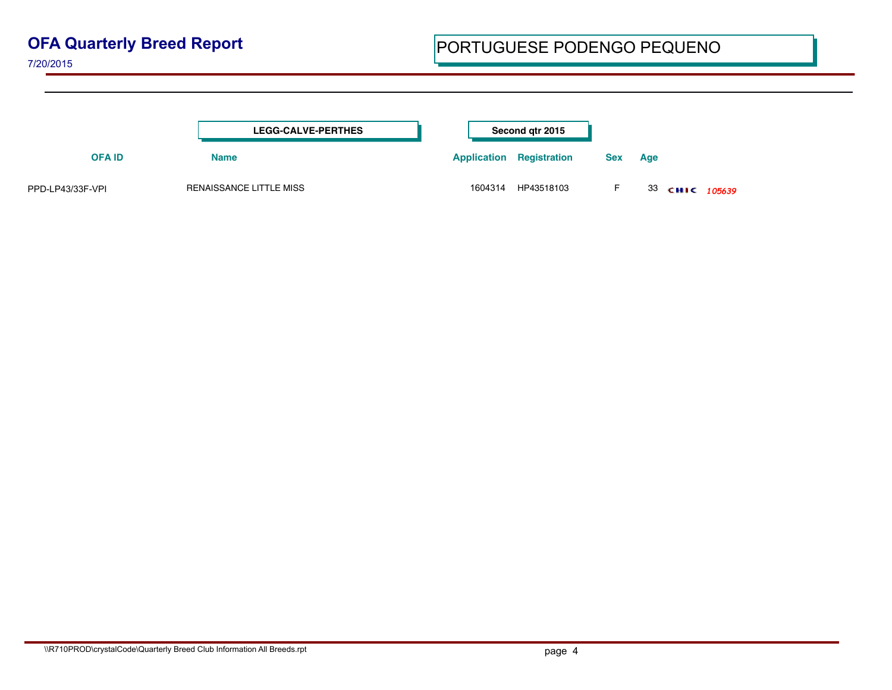## **OFA Quarterly Breed Report**

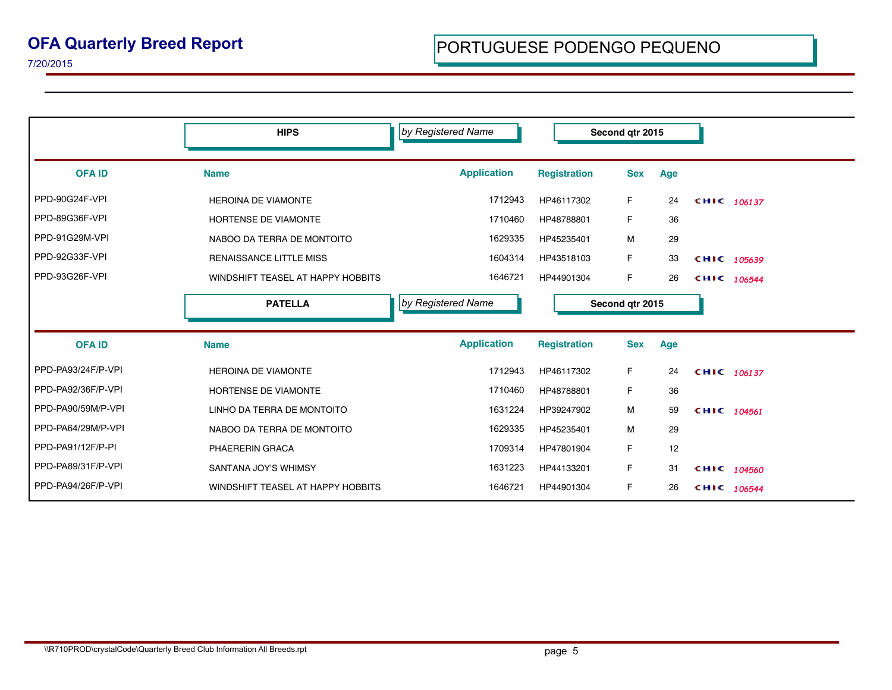|                    | <b>HIPS</b>                       | by Registered Name |                     | Second qtr 2015 |     |               |
|--------------------|-----------------------------------|--------------------|---------------------|-----------------|-----|---------------|
| <b>OFA ID</b>      | <b>Name</b>                       | <b>Application</b> | <b>Registration</b> | <b>Sex</b>      | Age |               |
| PPD-90G24F-VPI     | <b>HEROINA DE VIAMONTE</b>        | 1712943            | HP46117302          | F.              | 24  | CHIC 106137   |
| PPD-89G36F-VPI     | <b>HORTENSE DE VIAMONTE</b>       | 1710460            | HP48788801          | F.              | 36  |               |
| PPD-91G29M-VPI     | NABOO DA TERRA DE MONTOITO        | 1629335            | HP45235401          | M               | 29  |               |
| PPD-92G33F-VPI     | <b>RENAISSANCE LITTLE MISS</b>    | 1604314            | HP43518103          | F               | 33  | CHIC 105639   |
| PPD-93G26F-VPI     | WINDSHIFT TEASEL AT HAPPY HOBBITS | 1646721            | HP44901304          | F.              | 26  | CHIC 106544   |
|                    | <b>PATELLA</b>                    | by Registered Name |                     | Second qtr 2015 |     |               |
| <b>OFA ID</b>      | <b>Name</b>                       | <b>Application</b> | <b>Registration</b> | <b>Sex</b>      | Age |               |
| PPD-PA93/24F/P-VPI | <b>HEROINA DE VIAMONTE</b>        | 1712943            | HP46117302          | F               | 24  | CHIC 106137   |
| PPD-PA92/36F/P-VPI | HORTENSE DE VIAMONTE              | 1710460            | HP48788801          | F               | 36  |               |
| PPD-PA90/59M/P-VPI | LINHO DA TERRA DE MONTOITO        | 1631224            | HP39247902          | M               | 59  | CHIC 104561   |
| PPD-PA64/29M/P-VPI | NABOO DA TERRA DE MONTOITO        | 1629335            | HP45235401          | M               | 29  |               |
| PPD-PA91/12F/P-PI  | PHAERERIN GRACA                   | 1709314            | HP47801904          | F               | 12  |               |
| PPD-PA89/31F/P-VPI | SANTANA JOY'S WHIMSY              | 1631223            | HP44133201          | F.              | 31  | CHIC $104560$ |
| PPD-PA94/26F/P-VPI | WINDSHIFT TEASEL AT HAPPY HOBBITS | 1646721            | HP44901304          | F.              | 26  | CHIC 106544   |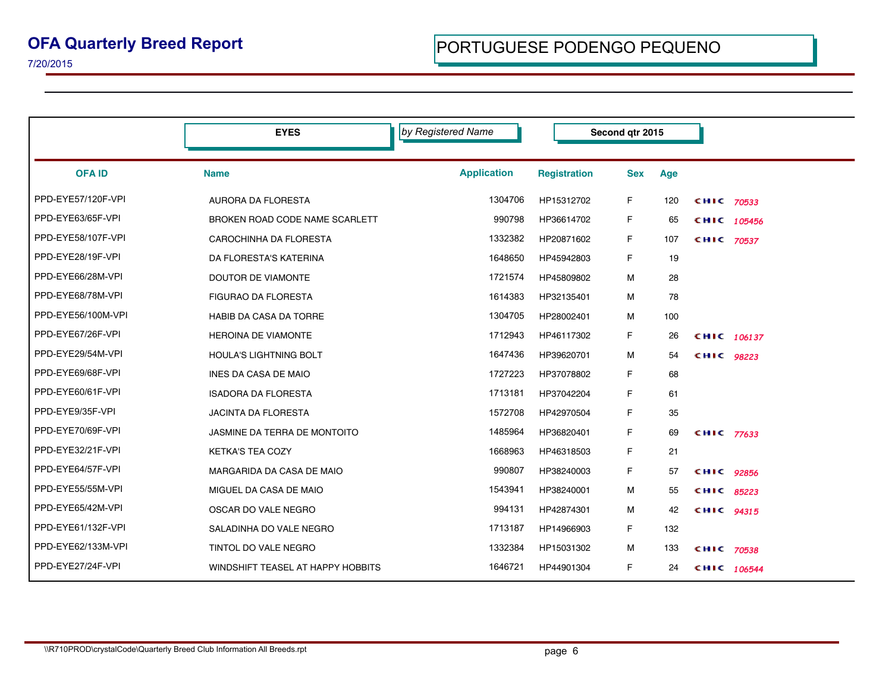|                    | <b>EYES</b>                       | by Registered Name | Second atr 2015     |            |     |            |               |
|--------------------|-----------------------------------|--------------------|---------------------|------------|-----|------------|---------------|
| <b>OFA ID</b>      | <b>Name</b>                       | <b>Application</b> | <b>Registration</b> | <b>Sex</b> | Age |            |               |
| PPD-EYE57/120F-VPI | <b>AURORA DA FLORESTA</b>         | 1304706            | HP15312702          | F          | 120 | CHIC 70533 |               |
| PPD-EYE63/65F-VPI  | BROKEN ROAD CODE NAME SCARLETT    | 990798             | HP36614702          | F.         | 65  |            | CHIC $105456$ |
| PPD-EYE58/107F-VPI | CAROCHINHA DA FLORESTA            | 1332382            | HP20871602          | F.         | 107 | CHIC 70537 |               |
| PPD-EYE28/19F-VPI  | DA FLORESTA'S KATERINA            | 1648650            | HP45942803          | F          | 19  |            |               |
| PPD-EYE66/28M-VPI  | <b>DOUTOR DE VIAMONTE</b>         | 1721574            | HP45809802          | м          | 28  |            |               |
| PPD-EYE68/78M-VPI  | <b>FIGURAO DA FLORESTA</b>        | 1614383            | HP32135401          | м          | 78  |            |               |
| PPD-EYE56/100M-VPI | HABIB DA CASA DA TORRE            | 1304705            | HP28002401          | м          | 100 |            |               |
| PPD-EYE67/26F-VPI  | <b>HEROINA DE VIAMONTE</b>        | 1712943            | HP46117302          | F.         | 26  |            | CHIC 106137   |
| PPD-EYE29/54M-VPI  | <b>HOULA'S LIGHTNING BOLT</b>     | 1647436            | HP39620701          | м          | 54  | CHIC 98223 |               |
| PPD-EYE69/68F-VPI  | INES DA CASA DE MAIO              | 1727223            | HP37078802          | F          | 68  |            |               |
| PPD-EYE60/61F-VPI  | <b>ISADORA DA FLORESTA</b>        | 1713181            | HP37042204          | F          | 61  |            |               |
| PPD-EYE9/35F-VPI   | <b>JACINTA DA FLORESTA</b>        | 1572708            | HP42970504          | F          | 35  |            |               |
| PPD-EYE70/69F-VPI  | JASMINE DA TERRA DE MONTOITO      | 1485964            | HP36820401          | F          | 69  | CHIC 77633 |               |
| PPD-EYE32/21F-VPI  | <b>KETKA'S TEA COZY</b>           | 1668963            | HP46318503          | F.         | 21  |            |               |
| PPD-EYE64/57F-VPI  | MARGARIDA DA CASA DE MAIO         | 990807             | HP38240003          | F          | 57  | CHIC 92856 |               |
| PPD-EYE55/55M-VPI  | MIGUEL DA CASA DE MAIO            | 1543941            | HP38240001          | м          | 55  | сніс       | 85223         |
| PPD-EYE65/42M-VPI  | OSCAR DO VALE NEGRO               | 994131             | HP42874301          | м          | 42  | CHIC 94315 |               |
| PPD-EYE61/132F-VPI | SALADINHA DO VALE NEGRO           | 1713187            | HP14966903          | F          | 132 |            |               |
| PPD-EYE62/133M-VPI | TINTOL DO VALE NEGRO              | 1332384            | HP15031302          | м          | 133 | CHIC 70538 |               |
| PPD-EYE27/24F-VPI  | WINDSHIFT TEASEL AT HAPPY HOBBITS | 1646721            | HP44901304          | F          | 24  |            | CHIC 106544   |